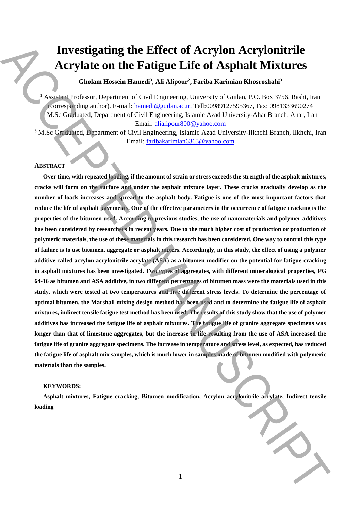# **Investigating the Effect of Acrylon Acrylonitrile Acrylate on the Fatigue Life of Asphalt Mixtures**

**Gholam Hossein Hamedi<sup>3</sup> , Ali Alipour<sup>2</sup> , Fariba Karimian Khosroshahi<sup>3</sup>**

<sup>1</sup> Assistant Professor, Department of Civil Engineering, University of Guilan, P.O. Box 3756, Rasht, Iran (corresponding author). E-mail: hamedi@guilan.ac.ir, Tell:00989127595367, Fax: 0981333690274 <sup>2</sup> M.Sc Graduated, Department of Civil Engineering, Islamic Azad University-Ahar Branch, Ahar, Iran Email: alialipour800@yahoo.com

<sup>3</sup> M.Sc Graduated, Department of Civil Engineering, Islamic Azad University-Ilkhchi Branch, Ilkhchi, Iran Email: faribakarimian6363@yahoo.com

### **ABSTRACT**

**Over time, with repeated loading, if the amount of strain or stress exceeds the strength of the asphalt mixtures, cracks will form on the surface and under the asphalt mixture layer. These cracks gradually develop as the number of loads increases and spread to the asphalt body. Fatigue is one of the most important factors that reduce the life of asphalt pavements. One of the effective parameters in the occurrence of fatigue cracking is the properties of the bitumen used. According to previous studies, the use of nanomaterials and polymer additives**  has been considered by researchers in recent years. Due to the much higher cost of production or production of **polymeric materials, the use of these materials in this research has been considered. One way to control this type of failure is to use bitumen, aggregate or asphalt mixers. Accordingly, in this study, the effect of using a polymer additive called acrylon acrylonitrile acrylate (ASA) as a bitumen modifier on the potential for fatigue cracking in asphalt mixtures has been investigated. Two types of aggregates, with different mineralogical properties, PG 64-16 as bitumen and ASA additive, in two different percentages of bitumen mass were the materials used in this study, which were tested at two temperatures and five different stress levels. To determine the percentage of optimal bitumen, the Marshall mixing design method has been used and to determine the fatigue life of asphalt mixtures, indirect tensile fatigue test method has been used. The results of this study show that the use of polymer additives has increased the fatigue life of asphalt mixtures. The fatigue life of granite aggregate specimens was longer than that of limestone aggregates, but the increase in life resulting from the use of ASA increased the fatigue life of granite aggregate specimens. The increase in temperature and stress level, as expected, has reduced the fatigue life of asphalt mix samples, which is much lower in samples made of bitumen modified with polymeric materials than the samples. laxers and the Effect of Acrylon Acrylonitrile<br>Acrylate on the Fatigue Life of Asphalt Mixtures<br>Accessosisty Contents and Monte and Monte and Monte and Monte and Monte and Monte and Monte and Monte and Life and Life and L** 

#### **KEYWORDS:**

**Asphalt mixtures, Fatigue cracking, Bitumen modification, Acrylon acrylonitrile acrylate, Indirect tensile**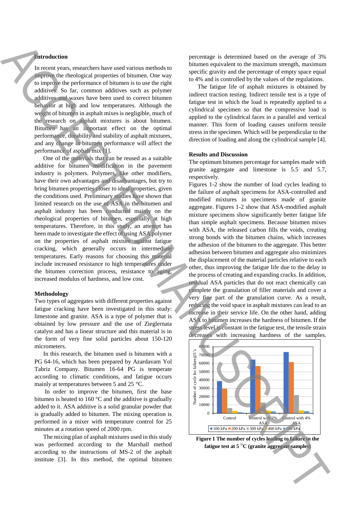# **Introduction**

In recent years, researchers have used various methods to improve the rheological properties of bitumen. One way to improve the performance of bitumen is to use the right additives. So far, common additives such as polymer additives and waxes have been used to correct bitumen behavior at high and low temperatures. Although the weight of bitumen in asphalt mixes is negligible, much of the research on asphalt mixtures is about bitumen. Bitumen has an important effect on the optimal performance, durability and stability of asphalt mixtures, and any change in bitumen performance will affect the performance of asphalt mix [1].

One of the materials that can be reused as a suitable additive for bitumen modification in the pavement industry is polymers. Polymers, like other modifiers, have their own advantages and disadvantages, but try to bring bitumen properties closer to ideal properties, given the conditions used. Preliminary studies have shown that limited research on the use of ASA in the bitumen and asphalt industry has been conducted mainly on the rheological properties of bitumen, especially at high temperatures. Therefore, in this study, an attempt has been made to investigate the effect of using ASA polymer on the properties of asphalt mixture against fatigue cracking, which generally occurs in intermediate temperatures. Early reasons for choosing this material include increased resistance to high temperatures under the bitumen correction process, resistance to aging, increased modulus of hardness, and low cost.

#### **Methodology**

Two types of aggregates with different properties against fatigue cracking have been investigated in this study: limestone and granite. ASA is a type of polymer that is obtained by low pressure and the use of Zieglernata catalyst and has a linear structure and this material is in the form of very fine solid particles about 150-120 micrometers.

In this research, the bitumen used is bitumen with a PG 64-16, which has been prepared by Azardavam Yol Tabriz Company. Bitumen 16-64 PG is temperate according to climatic conditions, and fatigue occurs mainly at temperatures between 5 and 25 °C.

In order to improve the bitumen, first the base bitumen is heated to 160 °C and the additive is gradually added to it. ASA additive is a solid granular powder that is gradually added to bitumen. The mixing operation is performed in a mixer with temperature control for 25 minutes at a rotation speed of 2000 rpm.

The mixing plan of asphalt mixtures used in this study was performed according to the Marshall method according to the instructions of MS-2 of the asphalt institute [3]. In this method, the optimal bitumen

percentage is determined based on the average of 3% bitumen equivalent to the maximum strength, maximum specific gravity and the percentage of empty space equal to 4% and is controlled by the values of the regulations.

The fatigue life of asphalt mixtures is obtained by indirect traction testing. Indirect tensile test is a type of fatigue test in which the load is repeatedly applied to a cylindrical specimen so that the compressive load is applied to the cylindrical faces in a parallel and vertical manner. This form of loading causes uniform tensile stress in the specimen. Which will be perpendicular to the direction of loading and along the cylindrical sample [4].

#### **Results and Discussion**

The optimum bitumen percentage for samples made with granite aggregate and limestone is 5.5 and 5.7, respectively.

Figures 1-2 show the number of load cycles leading to the failure of asphalt specimens for ASA-controlled and modified mixtures in specimens made of granite aggregate. Figures 1-2 show that ASA-modified asphalt mixture specimens show significantly better fatigue life than simple asphalt specimens. Because bitumen mixes with ASA, the released carbon fills the voids, creating strong bonds with the bitumen chains, which increases the adhesion of the bitumen to the aggregate. This better adhesion between bitumen and aggregate also minimizes the displacement of the material particles relative to each other, thus improving the fatigue life due to the delay in the process of creating and expanding cracks. In addition, residual ASA particles that do not react chemically can complete the granulation of filler materials and cover a very fine part of the granulation curve. As a result, reducing the void space in asphalt mixtures can lead to an increase in their service life. On the other hand, adding ASA to bitumen increases the hardness of bitumen. If the stress level is constant in the fatigue test, the tensile strain decreases with increasing hardness of the samples. **Alternative** consider the set of signal of the set of signal of the set of signal of the set of signal of the set of signal of the set of signal of the set of signal of the set of signal of the set of signal of the set o



**Figure 1 The number of cycles leading to failure in the fatigue test at 5** °**C (granite aggregate samples)**